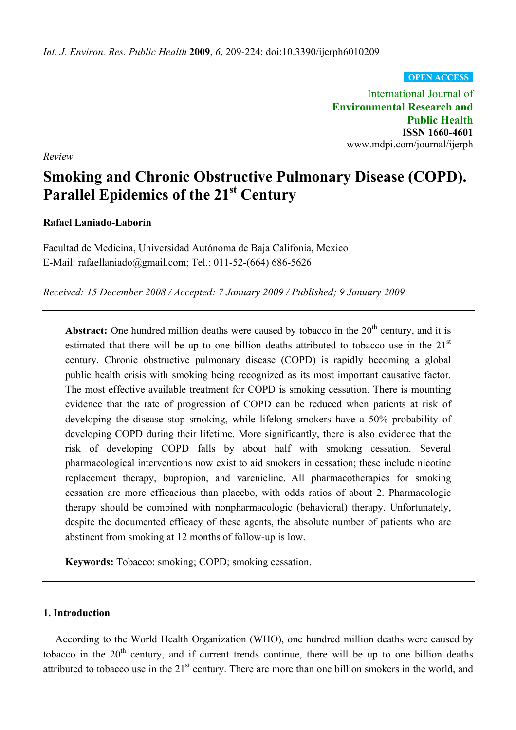**OPEN ACCESS**

International Journal of **Environmental Research and Public Health ISSN 1660-4601**  www.mdpi.com/journal/ijerph

*Review* 

# **Smoking and Chronic Obstructive Pulmonary Disease (COPD).**  Parallel Epidemics of the 21<sup>st</sup> Century

## **Rafael Laniado-Laborín**

Facultad de Medicina, Universidad Autónoma de Baja Califonia, Mexico E-Mail: rafaellaniado@gmail.com; Tel.: 011-52-(664) 686-5626

*Received: 15 December 2008 / Accepted: 7 January 2009 / Published; 9 January 2009* 

**Abstract:** One hundred million deaths were caused by tobacco in the  $20<sup>th</sup>$  century, and it is estimated that there will be up to one billion deaths attributed to tobacco use in the  $21<sup>st</sup>$ century. Chronic obstructive pulmonary disease (COPD) is rapidly becoming a global public health crisis with smoking being recognized as its most important causative factor. The most effective available treatment for COPD is smoking cessation. There is mounting evidence that the rate of progression of COPD can be reduced when patients at risk of developing the disease stop smoking, while lifelong smokers have a 50% probability of developing COPD during their lifetime. More significantly, there is also evidence that the risk of developing COPD falls by about half with smoking cessation. Several pharmacological interventions now exist to aid smokers in cessation; these include nicotine replacement therapy, bupropion, and varenicline. All pharmacotherapies for smoking cessation are more efficacious than placebo, with odds ratios of about 2. Pharmacologic therapy should be combined with nonpharmacologic (behavioral) therapy. Unfortunately, despite the documented efficacy of these agents, the absolute number of patients who are abstinent from smoking at 12 months of follow-up is low.

**Keywords:** Tobacco; smoking; COPD; smoking cessation.

#### **1. Introduction**

According to the World Health Organization (WHO), one hundred million deaths were caused by tobacco in the  $20<sup>th</sup>$  century, and if current trends continue, there will be up to one billion deaths attributed to tobacco use in the  $21<sup>st</sup>$  century. There are more than one billion smokers in the world, and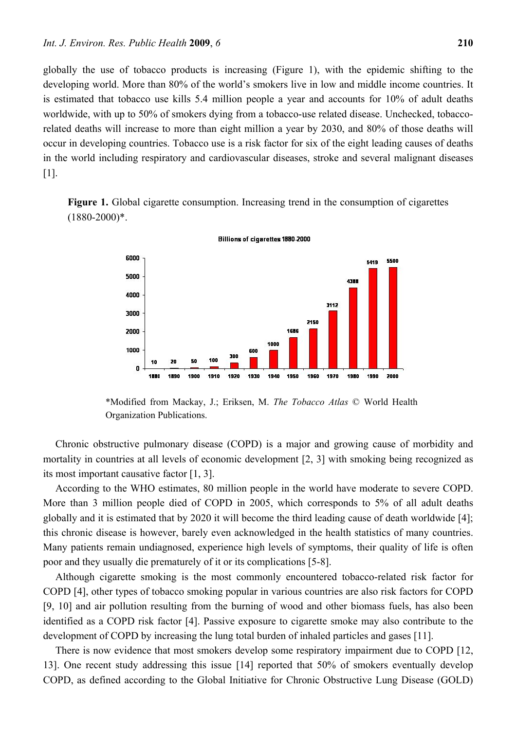globally the use of tobacco products is increasing (Figure 1), with the epidemic shifting to the developing world. More than 80% of the world's smokers live in low and middle income countries. It is estimated that tobacco use kills 5.4 million people a year and accounts for 10% of adult deaths worldwide, with up to 50% of smokers dying from a tobacco-use related disease. Unchecked, tobaccorelated deaths will increase to more than eight million a year by 2030, and 80% of those deaths will occur in developing countries. Tobacco use is a risk factor for six of the eight leading causes of deaths in the world including respiratory and cardiovascular diseases, stroke and several malignant diseases [1].

**Figure 1.** Global cigarette consumption. Increasing trend in the consumption of cigarettes  $(1880 - 2000)*$ .



Billions of cigarettes 1880-2000

\*Modified from Mackay, J.; Eriksen, M. *The Tobacco Atlas* © World Health Organization Publications.

Chronic obstructive pulmonary disease (COPD) is a major and growing cause of morbidity and mortality in countries at all levels of economic development [2, 3] with smoking being recognized as its most important causative factor [1, 3].

According to the WHO estimates, 80 million people in the world have moderate to severe COPD. More than 3 million people died of COPD in 2005, which corresponds to 5% of all adult deaths globally and it is estimated that by 2020 it will become the third leading cause of death worldwide [4]; this chronic disease is however, barely even acknowledged in the health statistics of many countries. Many patients remain undiagnosed, experience high levels of symptoms, their quality of life is often poor and they usually die prematurely of it or its complications [5-8].

Although cigarette smoking is the most commonly encountered tobacco-related risk factor for COPD [4], other types of tobacco smoking popular in various countries are also risk factors for COPD [9, 10] and air pollution resulting from the burning of wood and other biomass fuels, has also been identified as a COPD risk factor [4]. Passive exposure to cigarette smoke may also contribute to the development of COPD by increasing the lung total burden of inhaled particles and gases [11].

There is now evidence that most smokers develop some respiratory impairment due to COPD [12, 13]. One recent study addressing this issue [14] reported that 50% of smokers eventually develop COPD, as defined according to the Global Initiative for Chronic Obstructive Lung Disease (GOLD)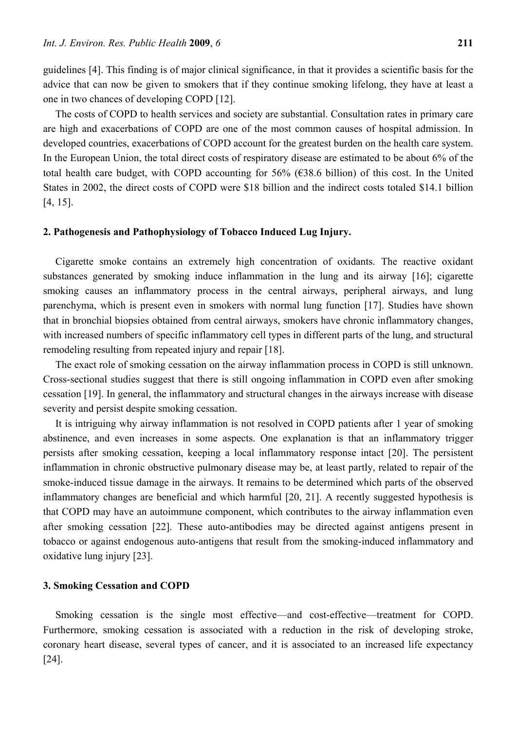guidelines [4]. This finding is of major clinical significance, in that it provides a scientific basis for the advice that can now be given to smokers that if they continue smoking lifelong, they have at least a one in two chances of developing COPD [12].

The costs of COPD to health services and society are substantial. Consultation rates in primary care are high and exacerbations of COPD are one of the most common causes of hospital admission. In developed countries, exacerbations of COPD account for the greatest burden on the health care system. In the European Union, the total direct costs of respiratory disease are estimated to be about 6% of the total health care budget, with COPD accounting for 56% ( $\epsilon$ 38.6 billion) of this cost. In the United States in 2002, the direct costs of COPD were \$18 billion and the indirect costs totaled \$14.1 billion [4, 15].

#### **2. Pathogenesis and Pathophysiology of Tobacco Induced Lug Injury.**

Cigarette smoke contains an extremely high concentration of oxidants. The reactive oxidant substances generated by smoking induce inflammation in the lung and its airway [16]; cigarette smoking causes an inflammatory process in the central airways, peripheral airways, and lung parenchyma, which is present even in smokers with normal lung function [17]. Studies have shown that in bronchial biopsies obtained from central airways, smokers have chronic inflammatory changes, with increased numbers of specific inflammatory cell types in different parts of the lung, and structural remodeling resulting from repeated injury and repair [18].

The exact role of smoking cessation on the airway inflammation process in COPD is still unknown. Cross-sectional studies suggest that there is still ongoing inflammation in COPD even after smoking cessation [19]. In general, the inflammatory and structural changes in the airways increase with disease severity and persist despite smoking cessation.

It is intriguing why airway inflammation is not resolved in COPD patients after 1 year of smoking abstinence, and even increases in some aspects. One explanation is that an inflammatory trigger persists after smoking cessation, keeping a local inflammatory response intact [20]. The persistent inflammation in chronic obstructive pulmonary disease may be, at least partly, related to repair of the smoke-induced tissue damage in the airways. It remains to be determined which parts of the observed inflammatory changes are beneficial and which harmful [20, 21]. A recently suggested hypothesis is that COPD may have an autoimmune component, which contributes to the airway inflammation even after smoking cessation [22]. These auto-antibodies may be directed against antigens present in tobacco or against endogenous auto-antigens that result from the smoking-induced inflammatory and oxidative lung injury [23].

#### **3. Smoking Cessation and COPD**

Smoking cessation is the single most effective—and cost-effective—treatment for COPD. Furthermore, smoking cessation is associated with a reduction in the risk of developing stroke, coronary heart disease, several types of cancer, and it is associated to an increased life expectancy [24].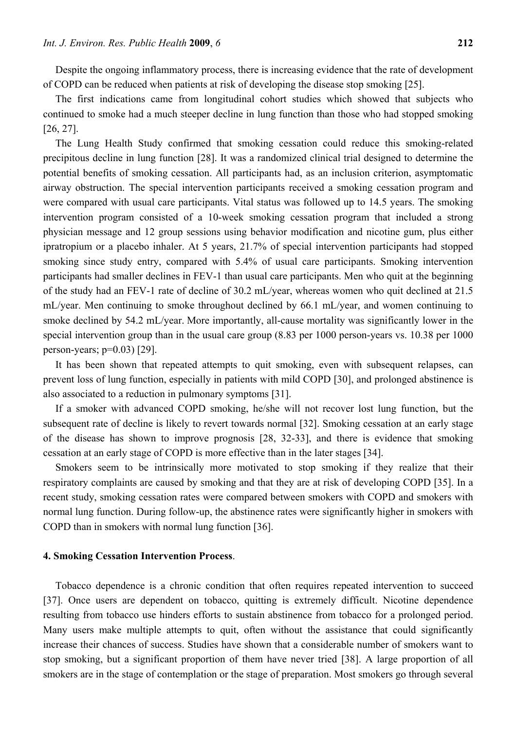Despite the ongoing inflammatory process, there is increasing evidence that the rate of development of COPD can be reduced when patients at risk of developing the disease stop smoking [25].

The first indications came from longitudinal cohort studies which showed that subjects who continued to smoke had a much steeper decline in lung function than those who had stopped smoking [26, 27].

The Lung Health Study confirmed that smoking cessation could reduce this smoking-related precipitous decline in lung function [28]. It was a randomized clinical trial designed to determine the potential benefits of smoking cessation. All participants had, as an inclusion criterion, asymptomatic airway obstruction. The special intervention participants received a smoking cessation program and were compared with usual care participants. Vital status was followed up to 14.5 years. The smoking intervention program consisted of a 10-week smoking cessation program that included a strong physician message and 12 group sessions using behavior modification and nicotine gum, plus either ipratropium or a placebo inhaler. At 5 years, 21.7% of special intervention participants had stopped smoking since study entry, compared with 5.4% of usual care participants. Smoking intervention participants had smaller declines in FEV-1 than usual care participants. Men who quit at the beginning of the study had an FEV-1 rate of decline of 30.2 mL/year, whereas women who quit declined at 21.5 mL/year. Men continuing to smoke throughout declined by 66.1 mL/year, and women continuing to smoke declined by 54.2 mL/year. More importantly, all-cause mortality was significantly lower in the special intervention group than in the usual care group (8.83 per 1000 person-years vs. 10.38 per 1000 person-years;  $p=0.03$  [29].

It has been shown that repeated attempts to quit smoking, even with subsequent relapses, can prevent loss of lung function, especially in patients with mild COPD [30], and prolonged abstinence is also associated to a reduction in pulmonary symptoms [31].

If a smoker with advanced COPD smoking, he/she will not recover lost lung function, but the subsequent rate of decline is likely to revert towards normal [32]. Smoking cessation at an early stage of the disease has shown to improve prognosis [28, 32-33], and there is evidence that smoking cessation at an early stage of COPD is more effective than in the later stages [34].

Smokers seem to be intrinsically more motivated to stop smoking if they realize that their respiratory complaints are caused by smoking and that they are at risk of developing COPD [35]. In a recent study, smoking cessation rates were compared between smokers with COPD and smokers with normal lung function. During follow-up, the abstinence rates were significantly higher in smokers with COPD than in smokers with normal lung function [36].

#### **4. Smoking Cessation Intervention Process**.

Tobacco dependence is a chronic condition that often requires repeated intervention to succeed [37]. Once users are dependent on tobacco, quitting is extremely difficult. Nicotine dependence resulting from tobacco use hinders efforts to sustain abstinence from tobacco for a prolonged period. Many users make multiple attempts to quit, often without the assistance that could significantly increase their chances of success. Studies have shown that a considerable number of smokers want to stop smoking, but a significant proportion of them have never tried [38]. A large proportion of all smokers are in the stage of contemplation or the stage of preparation. Most smokers go through several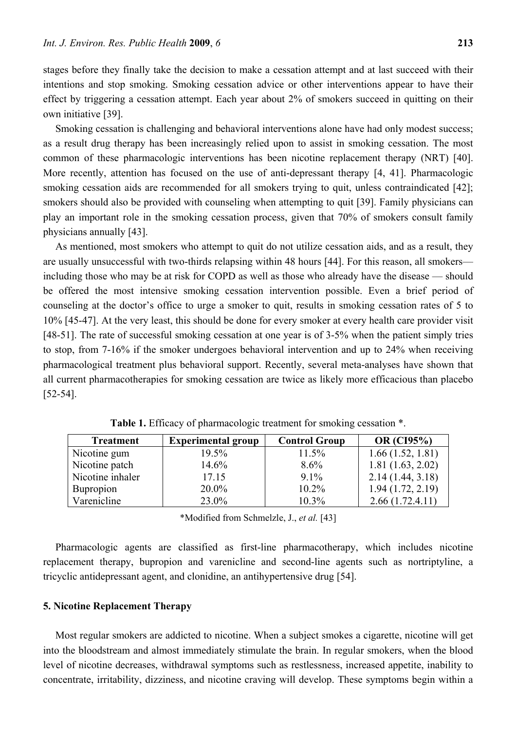stages before they finally take the decision to make a cessation attempt and at last succeed with their intentions and stop smoking. Smoking cessation advice or other interventions appear to have their effect by triggering a cessation attempt. Each year about 2% of smokers succeed in quitting on their own initiative [39].

Smoking cessation is challenging and behavioral interventions alone have had only modest success; as a result drug therapy has been increasingly relied upon to assist in smoking cessation. The most common of these pharmacologic interventions has been nicotine replacement therapy (NRT) [40]. More recently, attention has focused on the use of anti-depressant therapy [4, 41]. Pharmacologic smoking cessation aids are recommended for all smokers trying to quit, unless contraindicated [42]; smokers should also be provided with counseling when attempting to quit [39]. Family physicians can play an important role in the smoking cessation process, given that 70% of smokers consult family physicians annually [43].

As mentioned, most smokers who attempt to quit do not utilize cessation aids, and as a result, they are usually unsuccessful with two-thirds relapsing within 48 hours [44]. For this reason, all smokers including those who may be at risk for COPD as well as those who already have the disease — should be offered the most intensive smoking cessation intervention possible. Even a brief period of counseling at the doctor's office to urge a smoker to quit, results in smoking cessation rates of 5 to 10% [45-47]. At the very least, this should be done for every smoker at every health care provider visit [48-51]. The rate of successful smoking cessation at one year is of 3-5% when the patient simply tries to stop, from 7-16% if the smoker undergoes behavioral intervention and up to 24% when receiving pharmacological treatment plus behavioral support. Recently, several meta-analyses have shown that all current pharmacotherapies for smoking cessation are twice as likely more efficacious than placebo [52-54].

| <b>Treatment</b> | <b>Experimental group</b> | <b>Control Group</b> | <b>OR</b> (CI95%) |
|------------------|---------------------------|----------------------|-------------------|
| Nicotine gum     | 19.5%                     | 11.5%                | 1.66(1.52, 1.81)  |
| Nicotine patch   | 14.6%                     | $8.6\%$              | 1.81(1.63, 2.02)  |
| Nicotine inhaler | 17.15                     | $9.1\%$              | 2.14(1.44, 3.18)  |
| <b>Bupropion</b> | 20.0%                     | $10.2\%$             | 1.94(1.72, 2.19)  |
| Varenicline      | 23.0%                     | 10.3%                | 2.66(1.72.4.11)   |

**Table 1.** Efficacy of pharmacologic treatment for smoking cessation \*.

\*Modified from Schmelzle, J., *et al.* [43]

Pharmacologic agents are classified as first-line pharmacotherapy, which includes nicotine replacement therapy, bupropion and varenicline and second-line agents such as nortriptyline, a tricyclic antidepressant agent, and clonidine, an antihypertensive drug [54].

#### **5. Nicotine Replacement Therapy**

Most regular smokers are addicted to nicotine. When a subject smokes a cigarette, nicotine will get into the bloodstream and almost immediately stimulate the brain. In regular smokers, when the blood level of nicotine decreases, withdrawal symptoms such as restlessness, increased appetite, inability to concentrate, irritability, dizziness, and nicotine craving will develop. These symptoms begin within a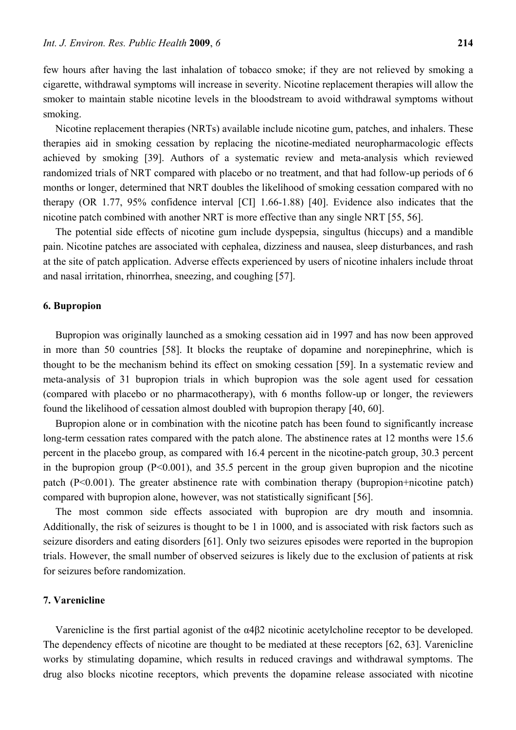few hours after having the last inhalation of tobacco smoke; if they are not relieved by smoking a cigarette, withdrawal symptoms will increase in severity. Nicotine replacement therapies will allow the smoker to maintain stable nicotine levels in the bloodstream to avoid withdrawal symptoms without smoking.

Nicotine replacement therapies (NRTs) available include nicotine gum, patches, and inhalers. These therapies aid in smoking cessation by replacing the nicotine-mediated neuropharmacologic effects achieved by smoking [39]. Authors of a systematic review and meta-analysis which reviewed randomized trials of NRT compared with placebo or no treatment, and that had follow-up periods of 6 months or longer, determined that NRT doubles the likelihood of smoking cessation compared with no therapy (OR 1.77, 95% confidence interval [CI] 1.66-1.88) [40]. Evidence also indicates that the nicotine patch combined with another NRT is more effective than any single NRT [55, 56].

The potential side effects of nicotine gum include dyspepsia, singultus (hiccups) and a mandible pain. Nicotine patches are associated with cephalea, dizziness and nausea, sleep disturbances, and rash at the site of patch application. Adverse effects experienced by users of nicotine inhalers include throat and nasal irritation, rhinorrhea, sneezing, and coughing [57].

#### **6. Bupropion**

Bupropion was originally launched as a smoking cessation aid in 1997 and has now been approved in more than 50 countries [58]. It blocks the reuptake of dopamine and norepinephrine, which is thought to be the mechanism behind its effect on smoking cessation [59]. In a systematic review and meta-analysis of 31 bupropion trials in which bupropion was the sole agent used for cessation (compared with placebo or no pharmacotherapy), with 6 months follow-up or longer, the reviewers found the likelihood of cessation almost doubled with bupropion therapy [40, 60].

Bupropion alone or in combination with the nicotine patch has been found to significantly increase long-term cessation rates compared with the patch alone. The abstinence rates at 12 months were 15.6 percent in the placebo group, as compared with 16.4 percent in the nicotine-patch group, 30.3 percent in the bupropion group  $(P<0.001)$ , and 35.5 percent in the group given bupropion and the nicotine patch (P<0.001). The greater abstinence rate with combination therapy (bupropion+nicotine patch) compared with bupropion alone, however, was not statistically significant [56].

The most common side effects associated with bupropion are dry mouth and insomnia. Additionally, the risk of seizures is thought to be 1 in 1000, and is associated with risk factors such as seizure disorders and eating disorders [61]. Only two seizures episodes were reported in the bupropion trials. However, the small number of observed seizures is likely due to the exclusion of patients at risk for seizures before randomization.

#### **7. Varenicline**

Varenicline is the first partial agonist of the α4β2 nicotinic acetylcholine receptor to be developed. The dependency effects of nicotine are thought to be mediated at these receptors [62, 63]. Varenicline works by stimulating dopamine, which results in reduced cravings and withdrawal symptoms. The drug also blocks nicotine receptors, which prevents the dopamine release associated with nicotine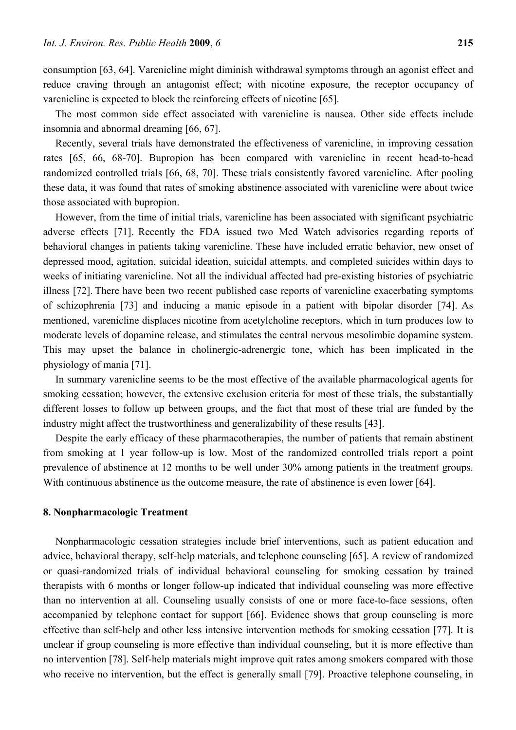consumption [63, 64]. Varenicline might diminish withdrawal symptoms through an agonist effect and reduce craving through an antagonist effect; with nicotine exposure, the receptor occupancy of varenicline is expected to block the reinforcing effects of nicotine [65].

The most common side effect associated with varenicline is nausea. Other side effects include insomnia and abnormal dreaming [66, 67].

Recently, several trials have demonstrated the effectiveness of varenicline, in improving cessation rates [65, 66, 68-70]. Bupropion has been compared with varenicline in recent head-to-head randomized controlled trials [66, 68, 70]. These trials consistently favored varenicline. After pooling these data, it was found that rates of smoking abstinence associated with varenicline were about twice those associated with bupropion.

However, from the time of initial trials, varenicline has been associated with significant psychiatric adverse effects [71]. Recently the FDA issued two Med Watch advisories regarding reports of behavioral changes in patients taking varenicline. These have included erratic behavior, new onset of depressed mood, agitation, suicidal ideation, suicidal attempts, and completed suicides within days to weeks of initiating varenicline. Not all the individual affected had pre-existing histories of psychiatric illness [72]. There have been two recent published case reports of varenicline exacerbating symptoms of schizophrenia [73] and inducing a manic episode in a patient with bipolar disorder [74]. As mentioned, varenicline displaces nicotine from acetylcholine receptors, which in turn produces low to moderate levels of dopamine release, and stimulates the central nervous mesolimbic dopamine system. This may upset the balance in cholinergic-adrenergic tone, which has been implicated in the physiology of mania [71].

In summary varenicline seems to be the most effective of the available pharmacological agents for smoking cessation; however, the extensive exclusion criteria for most of these trials, the substantially different losses to follow up between groups, and the fact that most of these trial are funded by the industry might affect the trustworthiness and generalizability of these results [43].

Despite the early efficacy of these pharmacotherapies, the number of patients that remain abstinent from smoking at 1 year follow-up is low. Most of the randomized controlled trials report a point prevalence of abstinence at 12 months to be well under 30% among patients in the treatment groups. With continuous abstinence as the outcome measure, the rate of abstinence is even lower [64].

#### **8. Nonpharmacologic Treatment**

Nonpharmacologic cessation strategies include brief interventions, such as patient education and advice, behavioral therapy, self-help materials, and telephone counseling [65]. A review of randomized or quasi-randomized trials of individual behavioral counseling for smoking cessation by trained therapists with 6 months or longer follow-up indicated that individual counseling was more effective than no intervention at all. Counseling usually consists of one or more face-to-face sessions, often accompanied by telephone contact for support [66]. Evidence shows that group counseling is more effective than self-help and other less intensive intervention methods for smoking cessation [77]. It is unclear if group counseling is more effective than individual counseling, but it is more effective than no intervention [78]. Self-help materials might improve quit rates among smokers compared with those who receive no intervention, but the effect is generally small [79]. Proactive telephone counseling, in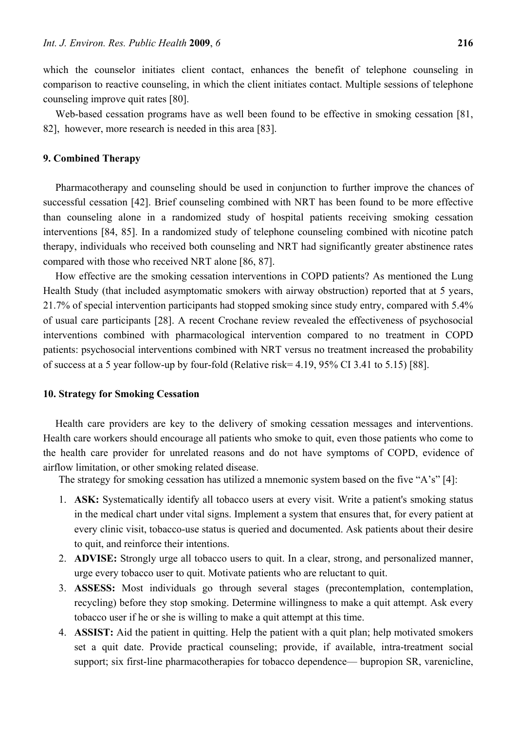which the counselor initiates client contact, enhances the benefit of telephone counseling in comparison to reactive counseling, in which the client initiates contact. Multiple sessions of telephone counseling improve quit rates [80].

Web-based cessation programs have as well been found to be effective in smoking cessation [81, 82], however, more research is needed in this area [83].

#### **9. Combined Therapy**

Pharmacotherapy and counseling should be used in conjunction to further improve the chances of successful cessation [42]. Brief counseling combined with NRT has been found to be more effective than counseling alone in a randomized study of hospital patients receiving smoking cessation interventions [84, 85]. In a randomized study of telephone counseling combined with nicotine patch therapy, individuals who received both counseling and NRT had significantly greater abstinence rates compared with those who received NRT alone [86, 87].

How effective are the smoking cessation interventions in COPD patients? As mentioned the Lung Health Study (that included asymptomatic smokers with airway obstruction) reported that at 5 years, 21.7% of special intervention participants had stopped smoking since study entry, compared with 5.4% of usual care participants [28]. A recent Crochane review revealed the effectiveness of psychosocial interventions combined with pharmacological intervention compared to no treatment in COPD patients: psychosocial interventions combined with NRT versus no treatment increased the probability of success at a 5 year follow-up by four-fold (Relative risk= 4.19, 95% CI 3.41 to 5.15) [88].

#### **10. Strategy for Smoking Cessation**

Health care providers are key to the delivery of smoking cessation messages and interventions. Health care workers should encourage all patients who smoke to quit, even those patients who come to the health care provider for unrelated reasons and do not have symptoms of COPD, evidence of airflow limitation, or other smoking related disease.

The strategy for smoking cessation has utilized a mnemonic system based on the five "A's" [4]:

- 1. **ASK:** Systematically identify all tobacco users at every visit. Write a patient's smoking status in the medical chart under vital signs. Implement a system that ensures that, for every patient at every clinic visit, tobacco-use status is queried and documented. Ask patients about their desire to quit, and reinforce their intentions.
- 2. **ADVISE:** Strongly urge all tobacco users to quit. In a clear, strong, and personalized manner, urge every tobacco user to quit. Motivate patients who are reluctant to quit.
- 3. **ASSESS:** Most individuals go through several stages (precontemplation, contemplation, recycling) before they stop smoking. Determine willingness to make a quit attempt. Ask every tobacco user if he or she is willing to make a quit attempt at this time.
- 4. **ASSIST:** Aid the patient in quitting. Help the patient with a quit plan; help motivated smokers set a quit date. Provide practical counseling; provide, if available, intra-treatment social support; six first-line pharmacotherapies for tobacco dependence— bupropion SR, varenicline,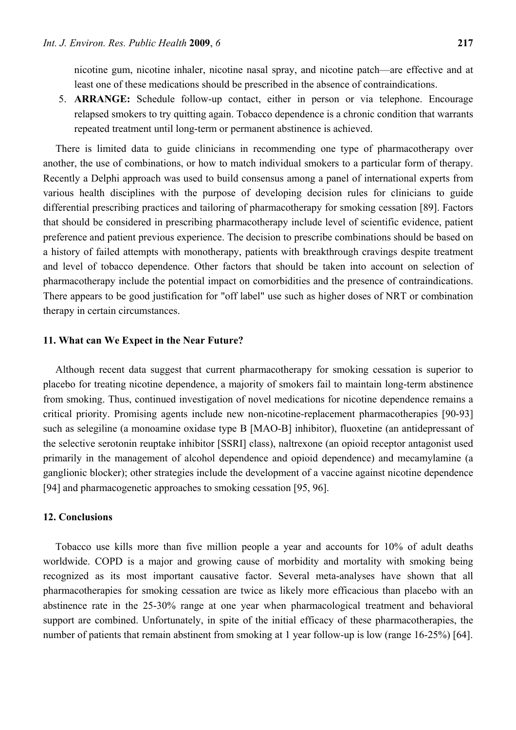nicotine gum, nicotine inhaler, nicotine nasal spray, and nicotine patch—are effective and at least one of these medications should be prescribed in the absence of contraindications.

5. **ARRANGE:** Schedule follow-up contact, either in person or via telephone. Encourage relapsed smokers to try quitting again. Tobacco dependence is a chronic condition that warrants repeated treatment until long-term or permanent abstinence is achieved.

There is limited data to guide clinicians in recommending one type of pharmacotherapy over another, the use of combinations, or how to match individual smokers to a particular form of therapy. Recently a Delphi approach was used to build consensus among a panel of international experts from various health disciplines with the purpose of developing decision rules for clinicians to guide differential prescribing practices and tailoring of pharmacotherapy for smoking cessation [89]. Factors that should be considered in prescribing pharmacotherapy include level of scientific evidence, patient preference and patient previous experience. The decision to prescribe combinations should be based on a history of failed attempts with monotherapy, patients with breakthrough cravings despite treatment and level of tobacco dependence. Other factors that should be taken into account on selection of pharmacotherapy include the potential impact on comorbidities and the presence of contraindications. There appears to be good justification for "off label" use such as higher doses of NRT or combination therapy in certain circumstances.

#### **11. What can We Expect in the Near Future?**

Although recent data suggest that current pharmacotherapy for smoking cessation is superior to placebo for treating nicotine dependence, a majority of smokers fail to maintain long-term abstinence from smoking. Thus, continued investigation of novel medications for nicotine dependence remains a critical priority. Promising agents include new non-nicotine-replacement pharmacotherapies [90-93] such as selegiline (a monoamine oxidase type B [MAO-B] inhibitor), fluoxetine (an antidepressant of the selective serotonin reuptake inhibitor [SSRI] class), naltrexone (an opioid receptor antagonist used primarily in the management of alcohol dependence and opioid dependence) and mecamylamine (a ganglionic blocker); other strategies include the development of a vaccine against nicotine dependence [94] and pharmacogenetic approaches to smoking cessation [95, 96].

## **12. Conclusions**

Tobacco use kills more than five million people a year and accounts for 10% of adult deaths worldwide. COPD is a major and growing cause of morbidity and mortality with smoking being recognized as its most important causative factor. Several meta-analyses have shown that all pharmacotherapies for smoking cessation are twice as likely more efficacious than placebo with an abstinence rate in the 25-30% range at one year when pharmacological treatment and behavioral support are combined. Unfortunately, in spite of the initial efficacy of these pharmacotherapies, the number of patients that remain abstinent from smoking at 1 year follow-up is low (range 16-25%) [64].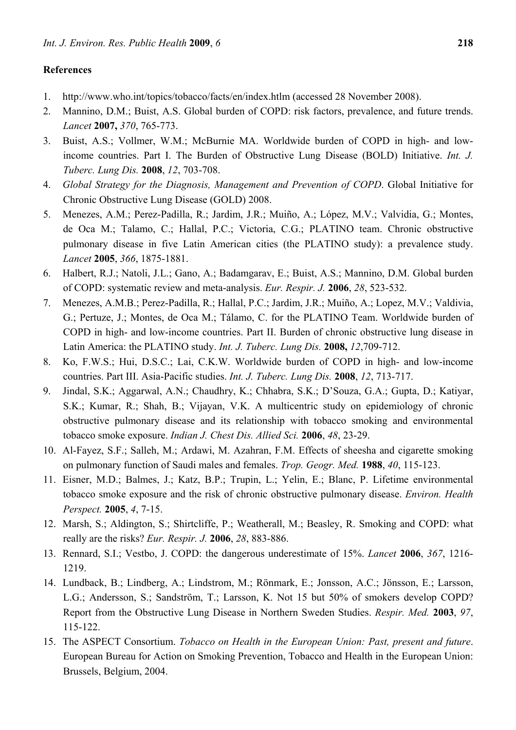### **References**

- 1. http://www.who.int/topics/tobacco/facts/en/index.htlm (accessed 28 November 2008).
- 2. Mannino, D.M.; Buist, A.S. Global burden of COPD: risk factors, prevalence, and future trends. *Lancet* **2007,** *370*, 765-773.
- 3. Buist, A.S.; Vollmer, W.M.; McBurnie MA. Worldwide burden of COPD in high- and lowincome countries. Part I. The Burden of Obstructive Lung Disease (BOLD) Initiative. *Int. J. Tuberc. Lung Dis.* **2008**, *12*, 703-708.
- 4. *Global Strategy for the Diagnosis, Management and Prevention of COPD*. Global Initiative for Chronic Obstructive Lung Disease (GOLD) 2008.
- 5. Menezes, A.M.; Perez-Padilla, R.; Jardim, J.R.; Muiño, A.; López, M.V.; Valvidia, G.; Montes, de Oca M.; Talamo, C.; Hallal, P.C.; Victoria, C.G.; PLATINO team. Chronic obstructive pulmonary disease in five Latin American cities (the PLATINO study): a prevalence study. *Lancet* **2005**, *366*, 1875-1881.
- 6. Halbert, R.J.; Natoli, J.L.; Gano, A.; Badamgarav, E.; Buist, A.S.; Mannino, D.M. Global burden of COPD: systematic review and meta-analysis. *Eur. Respir. J.* **2006**, *28*, 523-532.
- 7. Menezes, A.M.B.; Perez-Padilla, R.; Hallal, P.C.; Jardim, J.R.; Muiño, A.; Lopez, M.V.; Valdivia, G.; Pertuze, J.; Montes, de Oca M.; Tálamo, C. for the PLATINO Team. Worldwide burden of COPD in high- and low-income countries. Part II. Burden of chronic obstructive lung disease in Latin America: the PLATINO study. *Int. J. Tuberc. Lung Dis.* **2008,** *12*,709-712.
- 8. Ko, F.W.S.; Hui, D.S.C.; Lai, C.K.W. Worldwide burden of COPD in high- and low-income countries. Part III. Asia-Pacific studies. *Int. J. Tuberc. Lung Dis.* **2008**, *12*, 713-717.
- 9. Jindal, S.K.; Aggarwal, A.N.; Chaudhry, K.; Chhabra, S.K.; D'Souza, G.A.; Gupta, D.; Katiyar, S.K.; Kumar, R.; Shah, B.; Vijayan, V.K. A multicentric study on epidemiology of chronic obstructive pulmonary disease and its relationship with tobacco smoking and environmental tobacco smoke exposure. *Indian J. Chest Dis. Allied Sci.* **2006**, *48*, 23-29.
- 10. Al-Fayez, S.F.; Salleh, M.; Ardawi, M. Azahran, F.M. Effects of sheesha and cigarette smoking on pulmonary function of Saudi males and females. *Trop. Geogr. Med.* **1988**, *40*, 115-123.
- 11. Eisner, M.D.; Balmes, J.; Katz, B.P.; Trupin, L.; Yelin, E.; Blanc, P. Lifetime environmental tobacco smoke exposure and the risk of chronic obstructive pulmonary disease. *Environ. Health Perspect.* **2005**, *4*, 7-15.
- 12. Marsh, S.; Aldington, S.; Shirtcliffe, P.; Weatherall, M.; Beasley, R. Smoking and COPD: what really are the risks? *Eur. Respir. J.* **2006**, *28*, 883-886.
- 13. Rennard, S.I.; Vestbo, J. COPD: the dangerous underestimate of 15%. *Lancet* **2006**, *367*, 1216- 1219.
- 14. Lundback, B.; Lindberg, A.; Lindstrom, M.; Rönmark, E.; Jonsson, A.C.; Jönsson, E.; Larsson, L.G.; Andersson, S.; Sandström, T.; Larsson, K. Not 15 but 50% of smokers develop COPD? Report from the Obstructive Lung Disease in Northern Sweden Studies. *Respir. Med.* **2003**, *97*, 115-122.
- 15. The ASPECT Consortium. *Tobacco on Health in the European Union: Past, present and future*. European Bureau for Action on Smoking Prevention, Tobacco and Health in the European Union: Brussels, Belgium, 2004.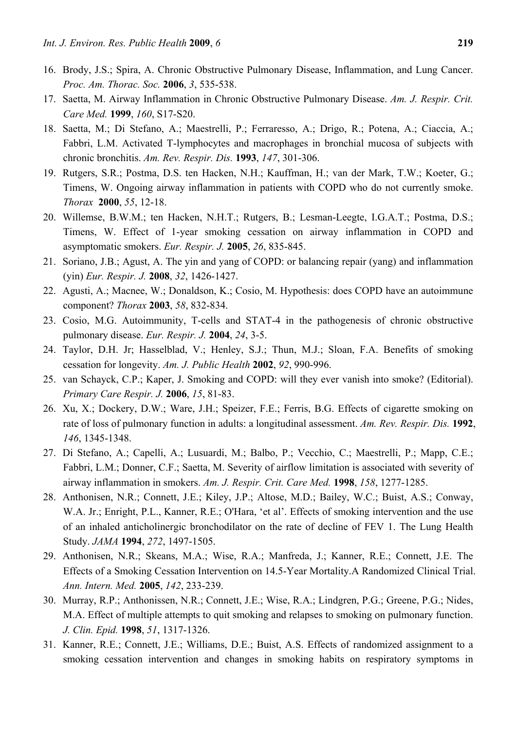- 16. Brody, J.S.; Spira, A. Chronic Obstructive Pulmonary Disease, Inflammation, and Lung Cancer. *Proc. Am. Thorac. Soc.* **2006**, *3*, 535-538.
- 17. Saetta, M. Airway Inflammation in Chronic Obstructive Pulmonary Disease. *Am. J. Respir. Crit. Care Med.* **1999**, *160*, S17-S20.
- 18. Saetta, M.; Di Stefano, A.; Maestrelli, P.; Ferraresso, A.; Drigo, R.; Potena, A.; Ciaccia, A.; Fabbri, L.M. Activated T-lymphocytes and macrophages in bronchial mucosa of subjects with chronic bronchitis. *Am. Rev. Respir. Dis.* **1993**, *147*, 301-306.
- 19. Rutgers, S.R.; Postma, D.S. ten Hacken, N.H.; Kauffman, H.; van der Mark, T.W.; Koeter, G.; Timens, W. Ongoing airway inflammation in patients with COPD who do not currently smoke. *Thorax* **2000**, *55*, 12-18.
- 20. Willemse, B.W.M.; ten Hacken, N.H.T.; Rutgers, B.; Lesman-Leegte, I.G.A.T.; Postma, D.S.; Timens, W. Effect of 1-year smoking cessation on airway inflammation in COPD and asymptomatic smokers. *Eur. Respir. J.* **2005**, *26*, 835-845.
- 21. Soriano, J.B.; Agust, A. The yin and yang of COPD: or balancing repair (yang) and inflammation (yin) *Eur. Respir. J.* **2008**, *32*, 1426-1427.
- 22. Agusti, A.; Macnee, W.; Donaldson, K.; Cosio, M. Hypothesis: does COPD have an autoimmune component? *Thorax* **2003**, *58*, 832-834.
- 23. Cosio, M.G. Autoimmunity, T-cells and STAT-4 in the pathogenesis of chronic obstructive pulmonary disease. *Eur. Respir. J.* **2004**, *24*, 3-5.
- 24. Taylor, D.H. Jr; Hasselblad, V.; Henley, S.J.; Thun, M.J.; Sloan, F.A. Benefits of smoking cessation for longevity. *Am. J. Public Health* **2002**, *92*, 990-996.
- 25. van Schayck, C.P.; Kaper, J. Smoking and COPD: will they ever vanish into smoke? (Editorial). *Primary Care Respir. J.* **2006**, *15*, 81-83.
- 26. Xu, X.; Dockery, D.W.; Ware, J.H.; Speizer, F.E.; Ferris, B.G. Effects of cigarette smoking on rate of loss of pulmonary function in adults: a longitudinal assessment. *Am. Rev. Respir. Dis.* **1992**, *146*, 1345-1348.
- 27. Di Stefano, A.; Capelli, A.; Lusuardi, M.; Balbo, P.; Vecchio, C.; Maestrelli, P.; Mapp, C.E.; Fabbri, L.M.; Donner, C.F.; Saetta, M. Severity of airflow limitation is associated with severity of airway inflammation in smokers. *Am. J. Respir. Crit. Care Med.* **1998**, *158*, 1277-1285.
- 28. Anthonisen, N.R.; Connett, J.E.; Kiley, J.P.; Altose, M.D.; Bailey, W.C.; Buist, A.S.; Conway, W.A. Jr.; Enright, P.L., Kanner, R.E.; O'Hara, 'et al'. Effects of smoking intervention and the use of an inhaled anticholinergic bronchodilator on the rate of decline of FEV 1. The Lung Health Study. *JAMA* **1994**, *272*, 1497-1505.
- 29. Anthonisen, N.R.; Skeans, M.A.; Wise, R.A.; Manfreda, J.; Kanner, R.E.; Connett, J.E. The Effects of a Smoking Cessation Intervention on 14.5-Year Mortality.A Randomized Clinical Trial. *Ann. Intern. Med.* **2005**, *142*, 233-239.
- 30. Murray, R.P.; Anthonissen, N.R.; Connett, J.E.; Wise, R.A.; Lindgren, P.G.; Greene, P.G.; Nides, M.A. Effect of multiple attempts to quit smoking and relapses to smoking on pulmonary function. *J. Clin. Epid.* **1998**, *51*, 1317-1326.
- 31. Kanner, R.E.; Connett, J.E.; Williams, D.E.; Buist, A.S. Effects of randomized assignment to a smoking cessation intervention and changes in smoking habits on respiratory symptoms in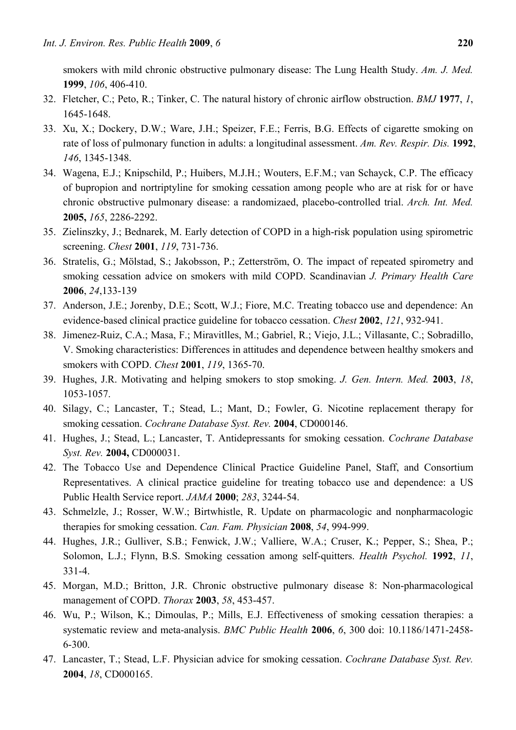smokers with mild chronic obstructive pulmonary disease: The Lung Health Study. *Am. J. Med.* **1999**, *106*, 406-410.

- 32. Fletcher, C.; Peto, R.; Tinker, C. The natural history of chronic airflow obstruction. *BMJ* **1977**, *1*, 1645-1648.
- 33. Xu, X.; Dockery, D.W.; Ware, J.H.; Speizer, F.E.; Ferris, B.G. Effects of cigarette smoking on rate of loss of pulmonary function in adults: a longitudinal assessment. *Am. Rev. Respir. Dis.* **1992**, *146*, 1345-1348.
- 34. Wagena, E.J.; Knipschild, P.; Huibers, M.J.H.; Wouters, E.F.M.; van Schayck, C.P. The efficacy of bupropion and nortriptyline for smoking cessation among people who are at risk for or have chronic obstructive pulmonary disease: a randomizaed, placebo-controlled trial. *Arch. Int. Med.* **2005,** *165*, 2286-2292.
- 35. Zielinszky, J.; Bednarek, M. Early detection of COPD in a high-risk population using spirometric screening. *Chest* **2001**, *119*, 731-736.
- 36. Stratelis, G.; Mölstad, S.; Jakobsson, P.; Zetterström, O. The impact of repeated spirometry and smoking cessation advice on smokers with mild COPD. Scandinavian *J. Primary Health Care* **2006**, *24*,133-139
- 37. Anderson, J.E.; Jorenby, D.E.; Scott, W.J.; Fiore, M.C. Treating tobacco use and dependence: An evidence-based clinical practice guideline for tobacco cessation. *Chest* **2002**, *121*, 932-941.
- 38. Jimenez-Ruiz, C.A.; Masa, F.; Miravitlles, M.; Gabriel, R.; Viejo, J.L.; Villasante, C.; Sobradillo, V. Smoking characteristics: Differences in attitudes and dependence between healthy smokers and smokers with COPD. *Chest* **2001**, *119*, 1365-70.
- 39. Hughes, J.R. Motivating and helping smokers to stop smoking. *J. Gen. Intern. Med.* **2003**, *18*, 1053-1057.
- 40. Silagy, C.; Lancaster, T.; Stead, L.; Mant, D.; Fowler, G. Nicotine replacement therapy for smoking cessation. *Cochrane Database Syst. Rev.* **2004**, CD000146.
- 41. Hughes, J.; Stead, L.; Lancaster, T. Antidepressants for smoking cessation. *Cochrane Database Syst. Rev.* **2004,** CD000031.
- 42. The Tobacco Use and Dependence Clinical Practice Guideline Panel, Staff, and Consortium Representatives. A clinical practice guideline for treating tobacco use and dependence: a US Public Health Service report. *JAMA* **2000**; *283*, 3244-54.
- 43. Schmelzle, J.; Rosser, W.W.; Birtwhistle, R. Update on pharmacologic and nonpharmacologic therapies for smoking cessation. *Can. Fam. Physician* **2008**, *54*, 994-999.
- 44. Hughes, J.R.; Gulliver, S.B.; Fenwick, J.W.; Valliere, W.A.; Cruser, K.; Pepper, S.; Shea, P.; Solomon, L.J.; Flynn, B.S. Smoking cessation among self-quitters. *Health Psychol.* **1992**, *11*, 331-4.
- 45. Morgan, M.D.; Britton, J.R. Chronic obstructive pulmonary disease 8: Non-pharmacological management of COPD. *Thorax* **2003**, *58*, 453-457.
- 46. Wu, P.; Wilson, K.; Dimoulas, P.; Mills, E.J. Effectiveness of smoking cessation therapies: a systematic review and meta-analysis. *BMC Public Health* **2006**, *6*, 300 doi: 10.1186/1471-2458- 6-300.
- 47. Lancaster, T.; Stead, L.F. Physician advice for smoking cessation. *Cochrane Database Syst. Rev.* **2004**, *18*, CD000165.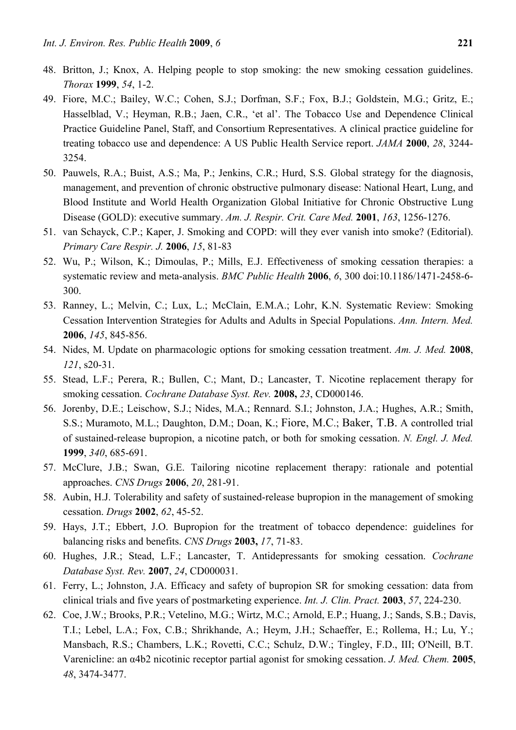- 48. Britton, J.; Knox, A. Helping people to stop smoking: the new smoking cessation guidelines. *Thorax* **1999**, *54*, 1-2.
- 49. Fiore, M.C.; Bailey, W.C.; Cohen, S.J.; Dorfman, S.F.; Fox, B.J.; Goldstein, M.G.; Gritz, E.; Hasselblad, V.; Heyman, R.B.; Jaen, C.R., 'et al'. The Tobacco Use and Dependence Clinical Practice Guideline Panel, Staff, and Consortium Representatives. A clinical practice guideline for treating tobacco use and dependence: A US Public Health Service report. *JAMA* **2000**, *28*, 3244- 3254.
- 50. Pauwels, R.A.; Buist, A.S.; Ma, P.; Jenkins, C.R.; Hurd, S.S. Global strategy for the diagnosis, management, and prevention of chronic obstructive pulmonary disease: National Heart, Lung, and Blood Institute and World Health Organization Global Initiative for Chronic Obstructive Lung Disease (GOLD): executive summary. *Am. J. Respir. Crit. Care Med.* **2001**, *163*, 1256-1276.
- 51. van Schayck, C.P.; Kaper, J. Smoking and COPD: will they ever vanish into smoke? (Editorial). *Primary Care Respir. J.* **2006**, *15*, 81-83
- 52. Wu, P.; Wilson, K.; Dimoulas, P.; Mills, E.J. Effectiveness of smoking cessation therapies: a systematic review and meta-analysis. *BMC Public Health* **2006**, *6*, 300 doi:10.1186/1471-2458-6- 300.
- 53. Ranney, L.; Melvin, C.; Lux, L.; McClain, E.M.A.; Lohr, K.N. Systematic Review: Smoking Cessation Intervention Strategies for Adults and Adults in Special Populations. *Ann. Intern. Med.* **2006**, *145*, 845-856.
- 54. Nides, M. Update on pharmacologic options for smoking cessation treatment. *Am. J. Med.* **2008**, *121*, s20-31.
- 55. Stead, L.F.; Perera, R.; Bullen, C.; Mant, D.; Lancaster, T. Nicotine replacement therapy for smoking cessation. *Cochrane Database Syst. Rev.* **2008,** *23*, CD000146.
- 56. Jorenby, D.E.; Leischow, S.J.; Nides, M.A.; Rennard. S.I.; Johnston, J.A.; Hughes, A.R.; Smith, S.S.; Muramoto, M.L.; Daughton, D.M.; Doan, K.; Fiore, M.C.; Baker, T.B. A controlled trial of sustained-release bupropion, a nicotine patch, or both for smoking cessation. *N. Engl. J. Med.* **1999**, *340*, 685-691.
- 57. McClure, J.B.; Swan, G.E. Tailoring nicotine replacement therapy: rationale and potential approaches. *CNS Drugs* **2006**, *20*, 281-91.
- 58. Aubin, H.J. Tolerability and safety of sustained-release bupropion in the management of smoking cessation. *Drugs* **2002**, *62*, 45-52.
- 59. Hays, J.T.; Ebbert, J.O. Bupropion for the treatment of tobacco dependence: guidelines for balancing risks and benefits. *CNS Drugs* **2003,** *17*, 71-83.
- 60. Hughes, J.R.; Stead, L.F.; Lancaster, T. Antidepressants for smoking cessation. *Cochrane Database Syst. Rev.* **2007**, *24*, CD000031.
- 61. Ferry, L.; Johnston, J.A. Efficacy and safety of bupropion SR for smoking cessation: data from clinical trials and five years of postmarketing experience. *Int. J. Clin. Pract.* **2003**, *57*, 224-230.
- 62. Coe, J.W.; Brooks, P.R.; Vetelino, M.G.; Wirtz, M.C.; Arnold, E.P.; Huang, J.; Sands, S.B.; Davis, T.I.; Lebel, L.A.; Fox, C.B.; Shrikhande, A.; Heym, J.H.; Schaeffer, E.; Rollema, H.; Lu, Y.; Mansbach, R.S.; Chambers, L.K.; Rovetti, C.C.; Schulz, D.W.; Tingley, F.D., III; O'Neill, B.T. Varenicline: an α4b2 nicotinic receptor partial agonist for smoking cessation. *J. Med. Chem.* **2005**, *48*, 3474-3477.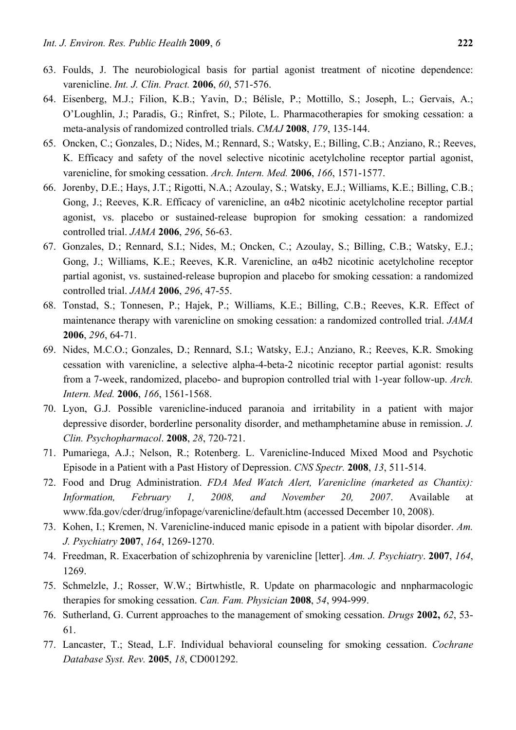- 63. Foulds, J. The neurobiological basis for partial agonist treatment of nicotine dependence: varenicline. *Int. J. Clin. Pract.* **2006**, *60*, 571-576.
- 64. Eisenberg, M.J.; Filion, K.B.; Yavin, D.; Bélisle, P.; Mottillo, S.; Joseph, L.; Gervais, A.; O'Loughlin, J.; Paradis, G.; Rinfret, S.; Pilote, L. Pharmacotherapies for smoking cessation: a meta-analysis of randomized controlled trials. *CMAJ* **2008**, *179*, 135-144.
- 65. Oncken, C.; Gonzales, D.; Nides, M.; Rennard, S.; Watsky, E.; Billing, C.B.; Anziano, R.; Reeves, K. Efficacy and safety of the novel selective nicotinic acetylcholine receptor partial agonist, varenicline, for smoking cessation. *Arch. Intern. Med.* **2006**, *166*, 1571-1577.
- 66. Jorenby, D.E.; Hays, J.T.; Rigotti, N.A.; Azoulay, S.; Watsky, E.J.; Williams, K.E.; Billing, C.B.; Gong, J.; Reeves, K.R. Efficacy of varenicline, an α4b2 nicotinic acetylcholine receptor partial agonist, vs. placebo or sustained-release bupropion for smoking cessation: a randomized controlled trial. *JAMA* **2006**, *296*, 56-63.
- 67. Gonzales, D.; Rennard, S.I.; Nides, M.; Oncken, C.; Azoulay, S.; Billing, C.B.; Watsky, E.J.; Gong, J.; Williams, K.E.; Reeves, K.R. Varenicline, an α4b2 nicotinic acetylcholine receptor partial agonist, vs. sustained-release bupropion and placebo for smoking cessation: a randomized controlled trial. *JAMA* **2006**, *296*, 47-55.
- 68. Tonstad, S.; Tonnesen, P.; Hajek, P.; Williams, K.E.; Billing, C.B.; Reeves, K.R. Effect of maintenance therapy with varenicline on smoking cessation: a randomized controlled trial. *JAMA* **2006**, *296*, 64-71.
- 69. Nides, M.C.O.; Gonzales, D.; Rennard, S.I.; Watsky, E.J.; Anziano, R.; Reeves, K.R. Smoking cessation with varenicline, a selective alpha-4-beta-2 nicotinic receptor partial agonist: results from a 7-week, randomized, placebo- and bupropion controlled trial with 1-year follow-up. *Arch. Intern. Med.* **2006**, *166*, 1561-1568.
- 70. Lyon, G.J. Possible varenicline-induced paranoia and irritability in a patient with major depressive disorder, borderline personality disorder, and methamphetamine abuse in remission. *J. Clin. Psychopharmacol*. **2008**, *28*, 720-721.
- 71. Pumariega, A.J.; Nelson, R.; Rotenberg. L. Varenicline-Induced Mixed Mood and Psychotic Episode in a Patient with a Past History of Depression. *CNS Spectr.* **2008**, *13*, 511-514.
- 72. Food and Drug Administration. *FDA Med Watch Alert, Varenicline (marketed as Chantix): Information, February 1, 2008, and November 20, 2007*. Available at www.fda.gov/cder/drug/infopage/varenicline/default.htm (accessed December 10, 2008).
- 73. Kohen, I.; Kremen, N. Varenicline-induced manic episode in a patient with bipolar disorder. *Am. J. Psychiatry* **2007**, *164*, 1269-1270.
- 74. Freedman, R. Exacerbation of schizophrenia by varenicline [letter]. *Am. J. Psychiatry*. **2007**, *164*, 1269.
- 75. Schmelzle, J.; Rosser, W.W.; Birtwhistle, R. Update on pharmacologic and nnpharmacologic therapies for smoking cessation. *Can. Fam. Physician* **2008**, *54*, 994-999.
- 76. Sutherland, G. Current approaches to the management of smoking cessation. *Drugs* **2002,** *62*, 53- 61.
- 77. Lancaster, T.; Stead, L.F. Individual behavioral counseling for smoking cessation. *Cochrane Database Syst. Rev.* **2005**, *18*, CD001292.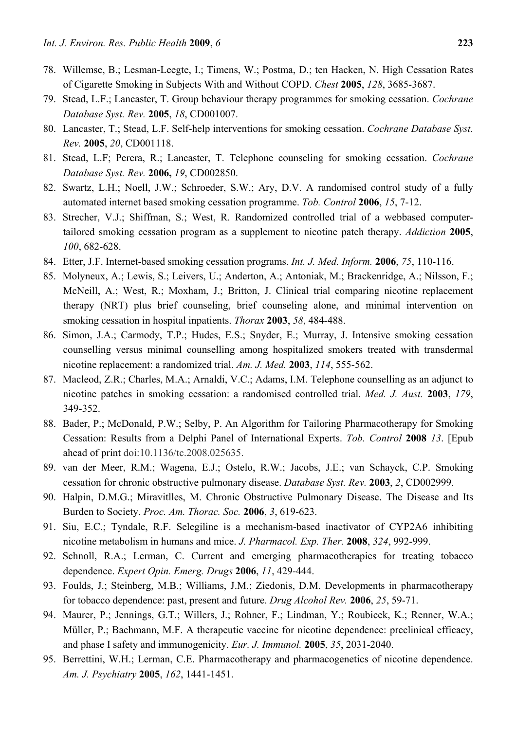- 78. Willemse, B.; Lesman-Leegte, I.; Timens, W.; Postma, D.; ten Hacken, N. High Cessation Rates of Cigarette Smoking in Subjects With and Without COPD. *Chest* **2005**, *128*, 3685-3687.
- 79. Stead, L.F.; Lancaster, T. Group behaviour therapy programmes for smoking cessation. *Cochrane Database Syst. Rev.* **2005**, *18*, CD001007.
- 80. Lancaster, T.; Stead, L.F. Self-help interventions for smoking cessation. *Cochrane Database Syst. Rev.* **2005**, *20*, CD001118.
- 81. Stead, L.F; Perera, R.; Lancaster, T. Telephone counseling for smoking cessation. *Cochrane Database Syst. Rev.* **2006,** *19*, CD002850.
- 82. Swartz, L.H.; Noell, J.W.; Schroeder, S.W.; Ary, D.V. A randomised control study of a fully automated internet based smoking cessation programme. *Tob. Control* **2006**, *15*, 7-12.
- 83. Strecher, V.J.; Shiffman, S.; West, R. Randomized controlled trial of a webbased computertailored smoking cessation program as a supplement to nicotine patch therapy. *Addiction* **2005**, *100*, 682-628.
- 84. Etter, J.F. Internet-based smoking cessation programs. *Int. J. Med. Inform.* **2006**, *75*, 110-116.
- 85. Molyneux, A.; Lewis, S.; Leivers, U.; Anderton, A.; Antoniak, M.; Brackenridge, A.; Nilsson, F.; McNeill, A.; West, R.; Moxham, J.; Britton, J. Clinical trial comparing nicotine replacement therapy (NRT) plus brief counseling, brief counseling alone, and minimal intervention on smoking cessation in hospital inpatients. *Thorax* **2003**, *58*, 484-488.
- 86. Simon, J.A.; Carmody, T.P.; Hudes, E.S.; Snyder, E.; Murray, J. Intensive smoking cessation counselling versus minimal counselling among hospitalized smokers treated with transdermal nicotine replacement: a randomized trial. *Am. J. Med.* **2003**, *114*, 555-562.
- 87. Macleod, Z.R.; Charles, M.A.; Arnaldi, V.C.; Adams, I.M. Telephone counselling as an adjunct to nicotine patches in smoking cessation: a randomised controlled trial. *Med. J. Aust.* **2003**, *179*, 349-352.
- 88. Bader, P.; McDonald, P.W.; Selby, P. An Algorithm for Tailoring Pharmacotherapy for Smoking Cessation: Results from a Delphi Panel of International Experts. *Tob. Control* **2008** *13*. [Epub ahead of print doi:10.1136/tc.2008.025635.
- 89. van der Meer, R.M.; Wagena, E.J.; Ostelo, R.W.; Jacobs, J.E.; van Schayck, C.P. Smoking cessation for chronic obstructive pulmonary disease. *Database Syst. Rev.* **2003**, *2*, CD002999.
- 90. Halpin, D.M.G.; Miravitlles, M. Chronic Obstructive Pulmonary Disease. The Disease and Its Burden to Society. *Proc. Am. Thorac. Soc.* **2006**, *3*, 619-623.
- 91. Siu, E.C.; Tyndale, R.F. Selegiline is a mechanism-based inactivator of CYP2A6 inhibiting nicotine metabolism in humans and mice. *J. Pharmacol. Exp. Ther.* **2008**, *324*, 992-999.
- 92. Schnoll, R.A.; Lerman, C. Current and emerging pharmacotherapies for treating tobacco dependence. *Expert Opin. Emerg. Drugs* **2006**, *11*, 429-444.
- 93. Foulds, J.; Steinberg, M.B.; Williams, J.M.; Ziedonis, D.M. Developments in pharmacotherapy for tobacco dependence: past, present and future. *Drug Alcohol Rev.* **2006**, *25*, 59-71.
- 94. Maurer, P.; Jennings, G.T.; Willers, J.; Rohner, F.; Lindman, Y.; Roubicek, K.; Renner, W.A.; Müller, P.; Bachmann, M.F. A therapeutic vaccine for nicotine dependence: preclinical efficacy, and phase I safety and immunogenicity. *Eur. J. Immunol.* **2005**, *35*, 2031-2040.
- 95. Berrettini, W.H.; Lerman, C.E. Pharmacotherapy and pharmacogenetics of nicotine dependence. *Am. J. Psychiatry* **2005**, *162*, 1441-1451.